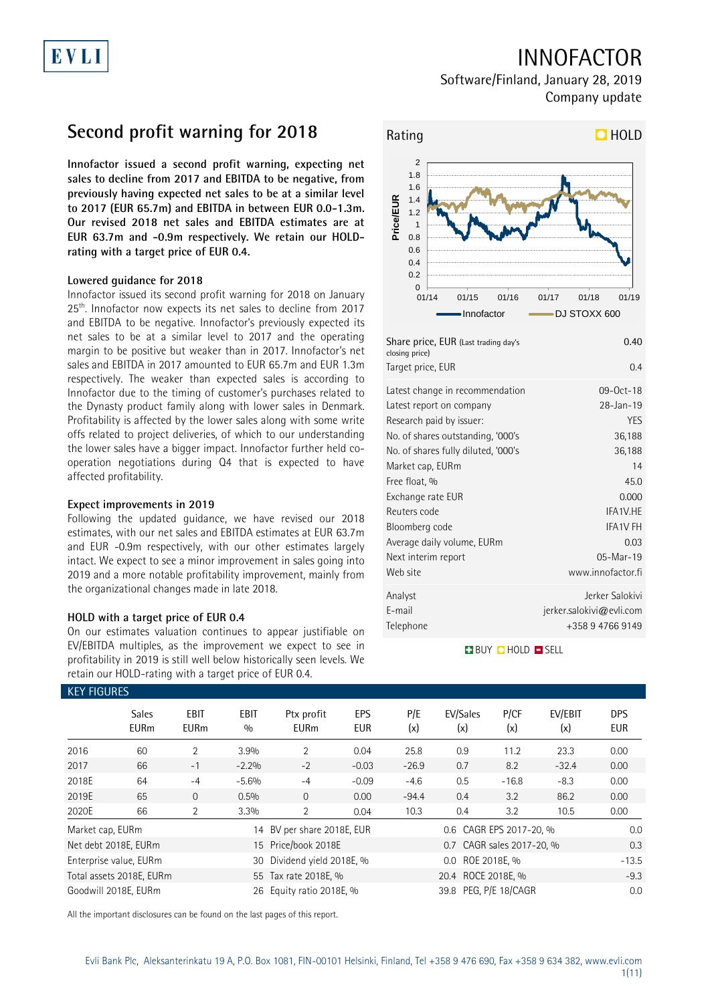## INNOFACTOR

Software/Finland, January 28, 2019 Company update

## **Second profit warning for 2018**

**Innofactor issued a second profit warning, expecting net sales to decline from 2017 and EBITDA to be negative, from previously having expected net sales to be at a similar level to 2017 (EUR 65.7m) and EBITDA in between EUR 0.0-1.3m. Our revised 2018 net sales and EBITDA estimates are at EUR 63.7m and -0.9m respectively. We retain our HOLDrating with a target price of EUR 0.4.**

### **Lowered guidance for 2018**

EVLI

Innofactor issued its second profit warning for 2018 on January 25<sup>th</sup>. Innofactor now expects its net sales to decline from 2017 and EBITDA to be negative. Innofactor's previously expected its net sales to be at a similar level to 2017 and the operating margin to be positive but weaker than in 2017. Innofactor's net sales and EBITDA in 2017 amounted to EUR 65.7m and EUR 1.3m respectively. The weaker than expected sales is according to Innofactor due to the timing of customer's purchases related to the Dynasty product family along with lower sales in Denmark. Profitability is affected by the lower sales along with some write offs related to project deliveries, of which to our understanding the lower sales have a bigger impact. Innofactor further held cooperation negotiations during Q4 that is expected to have affected profitability.

### **Expect improvements in 2019**

Following the updated guidance, we have revised our 2018 estimates, with our net sales and EBITDA estimates at EUR 63.7m and EUR -0.9m respectively, with our other estimates largely intact. We expect to see a minor improvement in sales going into 2019 and a more notable profitability improvement, mainly from the organizational changes made in late 2018.

### **HOLD with a target price of EUR 0.4**

On our estimates valuation continues to appear justifiable on EV/EBITDA multiples, as the improvement we expect to see in profitability in 2019 is still well below historically seen levels. We retain our HOLD-rating with a target price of EUR 0.4.



| Share price, EUR (Last trading day's<br>closing price) | 0.40                        |
|--------------------------------------------------------|-----------------------------|
| Target price, EUR                                      | 0.4                         |
| Latest change in recommendation                        | 09-0ct-18                   |
| Latest report on company                               | 28-Jan-19                   |
| Research paid by issuer:                               | <b>YES</b>                  |
| No. of shares outstanding, '000's                      | 36,188                      |
| No. of shares fully diluted, '000's                    | 36,188                      |
| Market cap, EURm                                       | 14                          |
| Free float, %                                          | 45.0                        |
| Exchange rate EUR                                      | 0.000                       |
| Reuters code                                           | IFA1V.HE                    |
| Bloomberg code                                         | <b>IFA1V FH</b>             |
| Average daily volume, EURm                             | 0.03                        |
| Next interim report                                    | 05-Mar-19                   |
| Web site                                               | www.innofactor.fi           |
| Analyst                                                | Jerker Salokivi             |
| E-mail                                                 | $j$ erker.salokivi@evli.com |
| Telephone                                              | +358 9 4766 9149            |

### **BUY QHOLD SELL**

| <b>KEY FIGURES</b> |                             |                            |                    |                            |                   |                    |                           |             |                |                          |
|--------------------|-----------------------------|----------------------------|--------------------|----------------------------|-------------------|--------------------|---------------------------|-------------|----------------|--------------------------|
|                    | <b>Sales</b><br><b>EURm</b> | <b>EBIT</b><br><b>EURm</b> | <b>EBIT</b><br>0/0 | Ptx profit<br><b>EURm</b>  | <b>EPS</b><br>EUR | P/E<br>(x)         | EV/Sales<br>(x)           | P/CF<br>(x) | EV/EBIT<br>(x) | <b>DPS</b><br><b>EUR</b> |
| 2016               | 60                          | 2                          | 3.9%               | $\overline{2}$             | 0.04              | 25.8               | 0.9                       | 11.2        | 23.3           | 0.00                     |
| 2017               | 66                          | $-1$                       | $-2.2%$            | $-2$                       | $-0.03$           | $-26.9$            | 0.7                       | 8.2         | $-32.4$        | 0.00                     |
| 2018E              | 64                          | $-4$                       | $-5.6%$            | $-4$                       | $-0.09$           | $-4.6$             | 0.5                       | $-16.8$     | $-8.3$         | 0.00                     |
| 2019E              | 65                          | $\Omega$                   | 0.5%               | $\Omega$                   | 0.00              | $-94.4$            | 0.4                       | 3.2         | 86.2           | 0.00                     |
| 2020E              | 66                          | 2                          | 3.3%               | 2                          | 0.04              | 10.3               | 0.4                       | 3.2         | 10.5           | 0.00                     |
| Market cap, EURm   |                             |                            |                    | 14 BV per share 2018E, EUR |                   |                    | 0.6 CAGR EPS 2017-20, %   |             |                | 0.0                      |
|                    | Net debt 2018E, EURm        |                            |                    | 15 Price/book 2018E        |                   |                    | 0.7 CAGR sales 2017-20, % |             |                | 0.3                      |
|                    | Enterprise value, EURm      |                            | 30                 | Dividend yield 2018E, %    |                   | 0.0 ROE 2018E. %   |                           |             |                | $-13.5$                  |
|                    | Total assets 2018E, EURm    |                            |                    | 55 Tax rate 2018E, %       |                   | 20.4 ROCE 2018E, % |                           |             |                | $-9.3$                   |
|                    | Goodwill 2018E. EURm        |                            |                    | 26 Equity ratio 2018E, %   |                   |                    | 39.8 PEG. P/E 18/CAGR     |             |                | 0.0                      |

All the important disclosures can be found on the last pages of this report.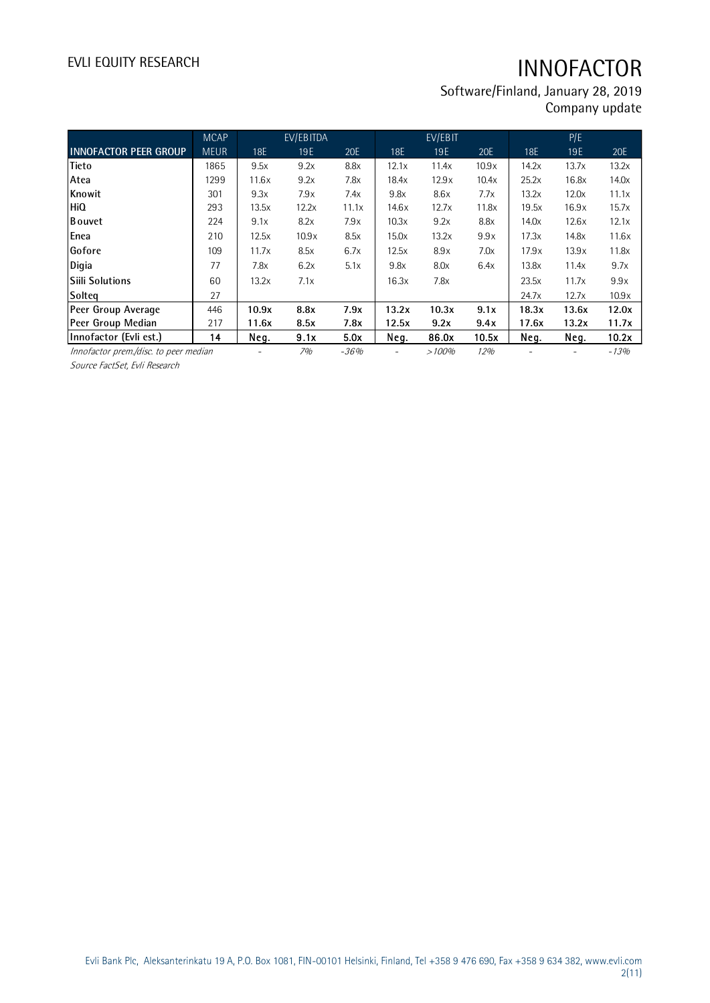Software/Finland, January 28, 2019 Company update

|                                                                   | <b>MCAP</b> |       | EV/EBITDA |        |       | EV/EBIT |       |       | P/E   |        |
|-------------------------------------------------------------------|-------------|-------|-----------|--------|-------|---------|-------|-------|-------|--------|
| <b>INNOFACTOR PEER GROUP</b>                                      | <b>MEUR</b> | 18E   | 19E       | 20E    | 18E   | 19E     | 20E   | 18E   | 19E   | 20E    |
| Tieto                                                             | 1865        | 9.5x  | 9.2x      | 8.8x   | 12.1x | 11.4x   | 10.9x | 14.2x | 13.7x | 13.2x  |
| Atea                                                              | 1299        | 11.6x | 9.2x      | 7.8x   | 18.4x | 12.9x   | 10.4x | 25.2x | 16.8x | 14.0x  |
| Knowit                                                            | 301         | 9.3x  | 7.9x      | 7.4x   | 9.8x  | 8.6x    | 7.7x  | 13.2x | 12.0x | 11.1x  |
| HiQ                                                               | 293         | 13.5x | 12.2x     | 11.1x  | 14.6x | 12.7x   | 11.8x | 19.5x | 16.9x | 15.7x  |
| <b>B</b> ouvet                                                    | 224         | 9.1x  | 8.2x      | 7.9x   | 10.3x | 9.2x    | 8.8x  | 14.0x | 12.6x | 12.1x  |
| Enea                                                              | 210         | 12.5x | 10.9x     | 8.5x   | 15.0x | 13.2x   | 9.9x  | 17.3x | 14.8x | 11.6x  |
| Gofore                                                            | 109         | 11.7x | 8.5x      | 6.7x   | 12.5x | 8.9x    | 7.0x  | 17.9x | 13.9x | 11.8x  |
| Digia                                                             | 77          | 7.8x  | 6.2x      | 5.1x   | 9.8x  | 8.0x    | 6.4x  | 13.8x | 11.4x | 9.7x   |
| <b>Siili Solutions</b>                                            | 60          | 13.2x | 7.1x      |        | 16.3x | 7.8x    |       | 23.5x | 11.7x | 9.9x   |
| Solteq                                                            | 27          |       |           |        |       |         |       | 24.7x | 12.7x | 10.9x  |
| Peer Group Average                                                | 446         | 10.9x | 8.8x      | 7.9x   | 13.2x | 10.3x   | 9.1x  | 18.3x | 13.6x | 12.0x  |
| Peer Group Median                                                 | 217         | 11.6x | 8.5x      | 7.8x   | 12.5x | 9.2x    | 9.4x  | 17.6x | 13.2x | 11.7x  |
| Innofactor (Evli est.)                                            | 14          | Neg.  | 9.1x      | 5.0x   | Neg.  | 86.0x   | 10.5x | Neg.  | Neg.  | 10.2x  |
| Innofactor prem./disc. to peer median                             |             |       | 7%        | $-36%$ |       | >100%   | 12%   |       |       | $-13%$ |
| $\epsilon$ $\epsilon$ $\epsilon$ $\epsilon$ $\epsilon$ $\epsilon$ |             |       |           |        |       |         |       |       |       |        |

Source FactSet, Evli Research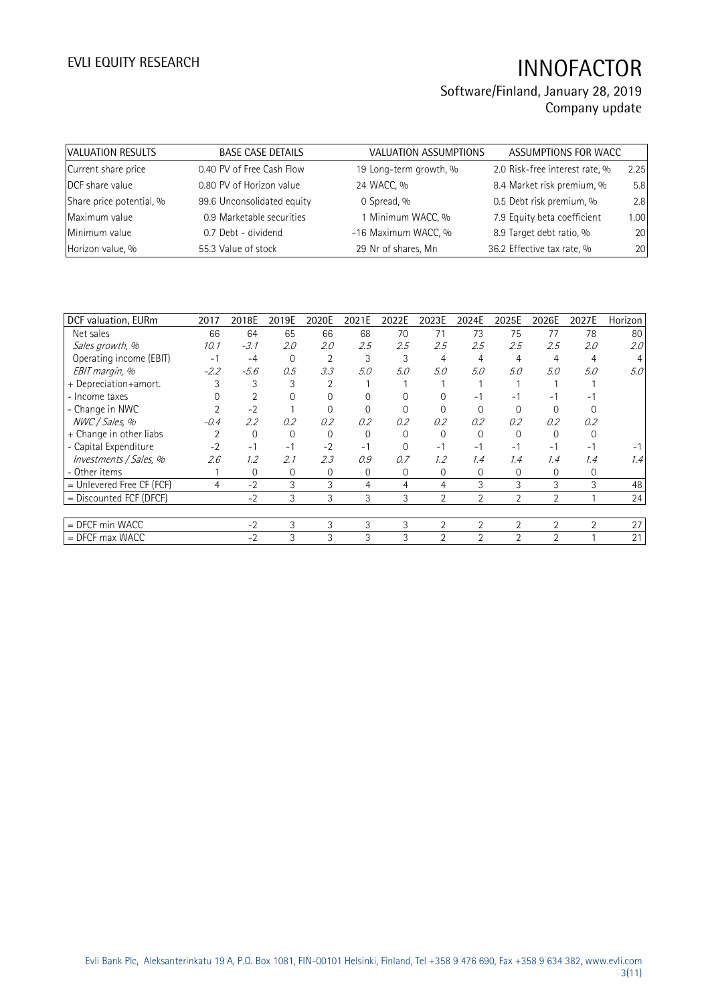| VALUATION RESULTS        | <b>BASE CASE DETAILS</b>   | <b>VALUATION ASSUMPTIONS</b> | ASSUMPTIONS FOR WACC           |      |
|--------------------------|----------------------------|------------------------------|--------------------------------|------|
| Current share price      | 0.40 PV of Free Cash Flow  | 19 Long-term growth, %       | 2.0 Risk-free interest rate, % | 2.25 |
| DCF share value          | 0.80 PV of Horizon value   | 24 WACC, %                   | 8.4 Market risk premium, %     | 5.8  |
| Share price potential, % | 99.6 Unconsolidated equity | 0 Spread, %                  | 0.5 Debt risk premium, %       | 2.8  |
| Maximum value            | 0.9 Marketable securities  | 1 Minimum WACC, %            | 7.9 Equity beta coefficient    | 1.00 |
| Minimum value            | 0.7 Debt - dividend        | -16 Maximum WACC, %          | 8.9 Target debt ratio, %       | 20   |
| Horizon value, %         | 55.3 Value of stock        | 29 Nr of shares, Mn          | 36.2 Effective tax rate, %     | 20   |

| DCF valuation, EURm         | 2017   | 2018E       | 2019E    | 2020E          | 2021E    | 2022E    | 2023E          | 2024E          | 2025E          | 2026E          | 2027E          | Horizon |
|-----------------------------|--------|-------------|----------|----------------|----------|----------|----------------|----------------|----------------|----------------|----------------|---------|
| Net sales                   | 66     | 64          | 65       | 66             | 68       | 70       | 71             | 73             | 75             | 77             | 78             | 80      |
| Sales growth, %             | 10.1   | $-3.1$      | 2.0      | 2.0            | 2.5      | 2.5      | 2.5            | 2.5            | 2.5            | 2.5            | 2.0            | 2.0     |
| Operating income (EBIT)     | $-1$   | $-4$        | 0        | $\overline{2}$ | 3        | 3        | 4              | $\overline{4}$ | 4              | 4              | 4              |         |
| EBIT margin, %              | $-2.2$ | $-5.6$      | 0.5      | 3.3            | 5.0      | 5.0      | 5.0            | 5.0            | 5.0            | 5.0            | 5.0            | 5.0     |
| + Depreciation+amort.       |        | 3           |          |                |          |          |                |                |                |                |                |         |
| - Income taxes              |        |             |          |                |          |          |                | - 1            |                | ۰.             | Ξ.             |         |
| - Change in NWC             |        | $-2$        |          |                |          |          |                | $\Omega$       |                |                |                |         |
| NWC / Sales, %              | $-0.4$ | 2.2         | 0.2      | 0.2            | 0.2      | 0.2      | 0.2            | 0.2            | 0.2            | 0.2            | 0.2            |         |
| + Change in other liabs     |        | $\mathbf 0$ | $\Omega$ | 0              | $\Omega$ | $\Omega$ | $\Omega$       | $\Omega$       |                | $\Omega$       |                |         |
| - Capital Expenditure       | $-2$   | $-1$        | $-1$     | $-2$           | $-1$     | $\Omega$ | $-1$           | $-1$           | $-1$           | ÷.             | $-1$           |         |
| Investments / Sales, %      | 2.6    | 1.2         | 2.1      | 2.3            | 0.9      | 0.7      | 1.2            | 1.4            | 1.4            | 1.4            | 1.4            | 1.4     |
| - Other items               |        | 0           | 0        | 0              | 0        | $\Omega$ | 0              | 0              | 0              | $\Omega$       | 0              |         |
| $=$ Unlevered Free CF (FCF) | 4      | $-2$        | 3        | 3              | 4        | 4        | 4              | 3              | 3              | 3              | 3              | 48      |
| = Discounted FCF (DFCF)     |        | $-2$        | 3        | 3              | 3        | 3        | $\overline{2}$ | $\overline{2}$ | $\overline{2}$ | $\overline{2}$ |                | 24      |
|                             |        |             |          |                |          |          |                |                |                |                |                |         |
| = DFCF min WACC             |        | $-2$        | 3        | 3              | 3        | 3        | $\overline{2}$ | $\overline{2}$ | $\overline{2}$ | $\overline{2}$ | $\overline{2}$ | 27      |
| $=$ DFCF max WACC           |        | $-2$        | 3        | 3              | 3        | 3        | $\overline{2}$ | $\mathfrak{D}$ | $\overline{2}$ | $\mathfrak{D}$ |                | 21      |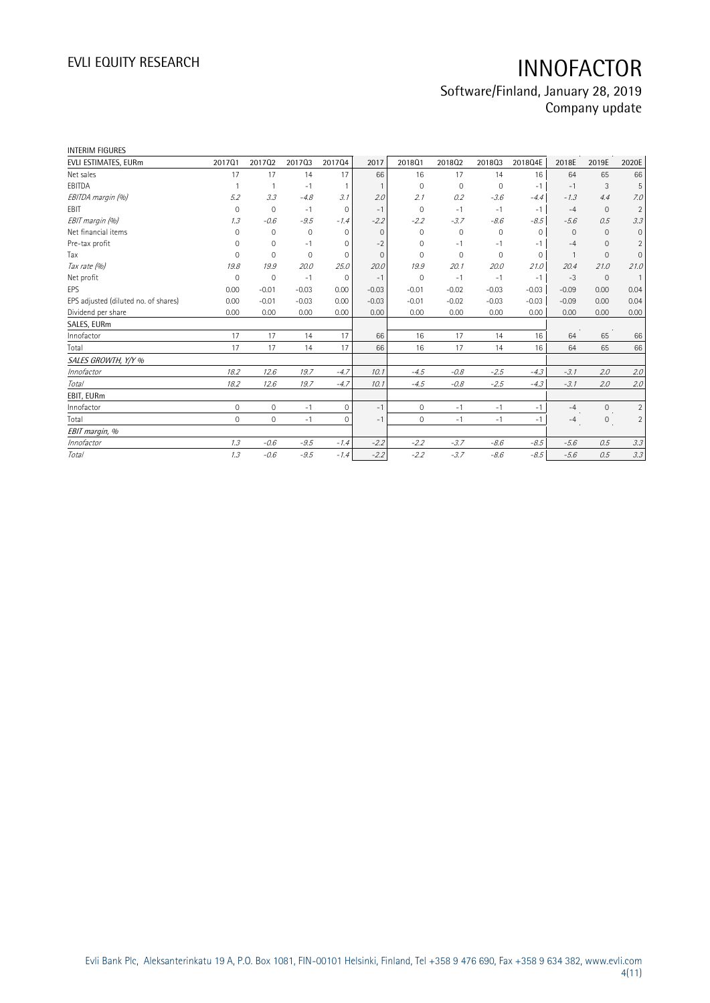| 201701              | 201702         | 201703      | 201704       | 2017     | 2018Q1       | 201802   | 201803       | 2018Q4E  | 2018E        | 2019E        | 2020E          |
|---------------------|----------------|-------------|--------------|----------|--------------|----------|--------------|----------|--------------|--------------|----------------|
| 17                  | 17             | 14          | 17           | 66       | 16           | 17       | 14           | 16       | 64           | 65           | 66             |
|                     |                | $-1$        | $\mathbf{1}$ |          | $\Omega$     | $\Omega$ | $\mathbf{0}$ | $-1$     | $-1$         | 3            | 5              |
| 5.2                 | 3.3            | $-4.8$      | 3.1          | 2.0      | 2.1          | 0.2      | $-3.6$       | $-4.4$   | $-1.3$       | 4.4          | 7.0            |
| $\mathbf{0}$        | $\overline{0}$ | $-1$        | $\mathbf 0$  | $-1$     | $\mathbf 0$  | $-1$     | $-1$         | $-1$     | $-4$         | $\mathbf{0}$ | $\overline{2}$ |
| 1.3                 | $-0.6$         | $-9.5$      | $-1.4$       | $-2.2$   | $-2.2$       | $-3.7$   | $-8.6$       | $-8.5$   | $-5.6$       | 0.5          | 3.3            |
| $\Omega$            | $\mathbf 0$    | $\mathbf 0$ | $\mathbf{0}$ | $\Omega$ | $\Omega$     | 0        | 0            | $\Omega$ | $\Omega$     | $\Omega$     | $\mathbf{0}$   |
| $\Omega$            | $\mathbf 0$    | $-1$        | 0            | $-2$     | 0            | $-1$     | $-1$         | $-1$     | $-4$         | $\mathbf{0}$ | $\overline{2}$ |
| $\Omega$            | $\Omega$       | $\mathbf 0$ | 0            | $\Omega$ | $\Omega$     | $\Omega$ | 0            | $\Omega$ | $\mathbf{1}$ | $\mathbf{0}$ | $\mathbf{0}$   |
| 19.8                | 19.9           | 20.0        | 25.0         | 20.0     | 19.9         | 20.1     | 20.0         | 21.0     | 20.4         | 21.0         | 21.0           |
| $\Omega$            | $\mathbf 0$    | $-1$        | $\mathbf{0}$ | $-1$     | $\Omega$     | $-1$     | $-1$         | $-1$     | $-3$         | $\mathbf{0}$ | $\overline{1}$ |
| 0.00                | $-0.01$        | $-0.03$     | 0.00         | $-0.03$  | $-0.01$      | $-0.02$  | $-0.03$      | $-0.03$  | $-0.09$      | 0.00         | 0.04           |
| 0.00                | $-0.01$        | $-0.03$     | 0.00         | $-0.03$  | $-0.01$      | $-0.02$  | $-0.03$      | $-0.03$  | $-0.09$      | 0.00         | 0.04           |
| 0.00                | 0.00           | 0.00        | 0.00         | 0.00     | 0.00         | 0.00     | 0.00         | 0.00     | 0.00         | 0.00         | 0.00           |
|                     |                |             |              |          |              |          |              |          |              |              |                |
| 17                  | 17             | 14          | 17           | 66       | 16           | 17       | 14           | 16       | 64           | 65           | 66             |
| 17                  | 17             | 14          | 17           | 66       | 16           | 17       | 14           | 16       | 64           | 65           | 66             |
|                     |                |             |              |          |              |          |              |          |              |              |                |
| 18.2                | 12.6           | 19.7        | $-4.7$       | 10.1     | $-4.5$       | $-0.8$   | $-2.5$       | $-4.3$   | $-3.1$       | 2.0          | 2.0            |
| 18.2                | 12.6           | 19.7        | $-4.7$       | 10.1     | $-4.5$       | $-0.8$   | $-2.5$       | $-4.3$   | $-3.1$       | 2.0          | 2.0            |
|                     |                |             |              |          |              |          |              |          |              |              |                |
| $\mathsf{O}\xspace$ | $\mathbf{0}$   | $-1$        | $\mathbf{0}$ | $-1$     | $\mathbf{0}$ | $-1$     | $-1$         | $-1$     | $-4$         | $\mathbf{0}$ | $\overline{2}$ |
| $\mathbf 0$         | $\mathbf{0}$   | $-1$        | $\mathbf{0}$ | $-1$     | $\mathbf{0}$ | $-1$     | $-1$         | $-1$     | $-4$         | $\mathbf{0}$ | $\overline{2}$ |
|                     |                |             |              |          |              |          |              |          |              |              |                |
| 1.3                 | $-0.6$         | $-9.5$      | $-1.4$       | $-2.2$   | $-2.2$       | $-3.7$   | $-8.6$       | $-8.5$   | $-5.6$       | 0.5          | 3.3            |
| 1.3                 | $-0.6$         | $-9.5$      | $-1.4$       | $-2.2$   | $-2.2$       | $-3.7$   | $-8.6$       | $-8.5$   | $-5.6$       | 0.5          | 3.3            |
|                     |                |             |              |          |              |          |              |          |              |              |                |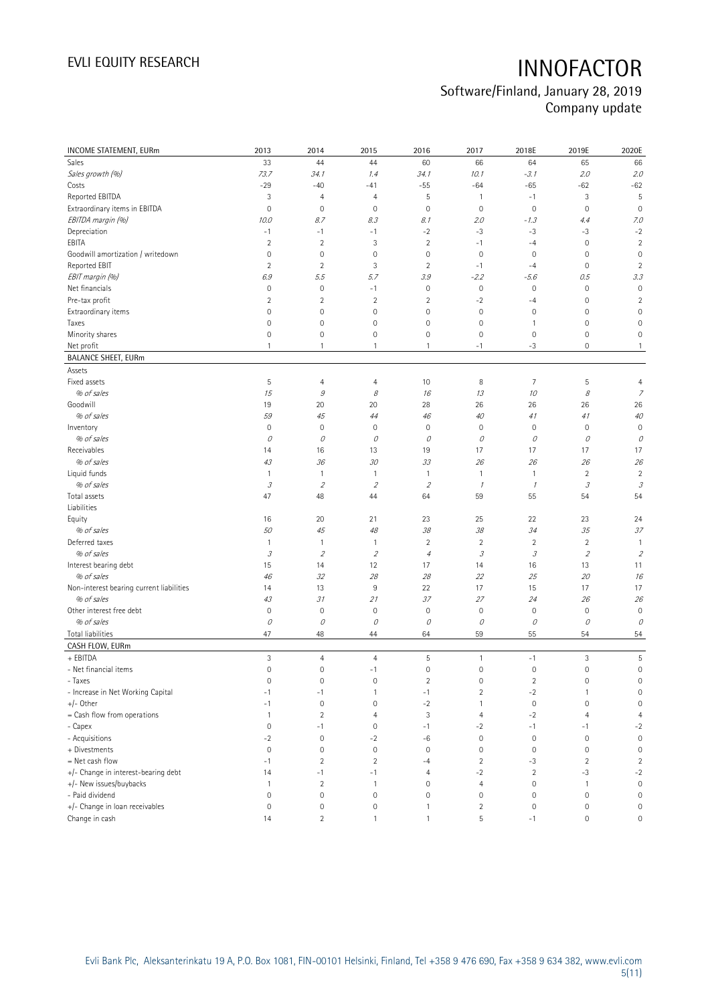| INCOME STATEMENT, EURm                   | 2013                        | 2014           | 2015                | 2016                | 2017                                                                                                                                                                                                                                                                                                                                                                                                                                                      | 2018E               | 2019E                      | 2020E               |
|------------------------------------------|-----------------------------|----------------|---------------------|---------------------|-----------------------------------------------------------------------------------------------------------------------------------------------------------------------------------------------------------------------------------------------------------------------------------------------------------------------------------------------------------------------------------------------------------------------------------------------------------|---------------------|----------------------------|---------------------|
| Sales                                    | 33                          | 44             | 44                  | 60                  | 66                                                                                                                                                                                                                                                                                                                                                                                                                                                        | 64                  | 65                         | 66                  |
| Sales growth (%)                         | 73.7                        | 34.1           | 1.4                 | 34.1                | 10.1                                                                                                                                                                                                                                                                                                                                                                                                                                                      | $-3.1$              | 2.0                        | 2.0                 |
| Costs                                    | $-29$                       | $-40$          | $-41$               | $-55$               | $-64$                                                                                                                                                                                                                                                                                                                                                                                                                                                     | $-65$               | $-62$                      | $-62$               |
| Reported EBITDA                          | 3                           | $\overline{4}$ | 4                   | 5                   | $\overline{1}$                                                                                                                                                                                                                                                                                                                                                                                                                                            | $-1$                | $\ensuremath{\mathsf{3}}$  | 5                   |
| Extraordinary items in EBITDA            | $\mathsf{O}\xspace$         | $\mathbf 0$    | $\mathbf 0$         | $\mathbf 0$         | $\mathbf 0$                                                                                                                                                                                                                                                                                                                                                                                                                                               | $\mathsf{O}\xspace$ | $\mathbf 0$                | $\mathbf 0$         |
| EBITDA margin (%)                        | 10.0                        | 8.7            | 8.3                 | 8.1                 | 2.0                                                                                                                                                                                                                                                                                                                                                                                                                                                       | $-1.3$              | 4.4                        | 7.0                 |
| Depreciation                             | $-1$                        | $-1$           | $-1$                | $-2$                | $-3$                                                                                                                                                                                                                                                                                                                                                                                                                                                      | $-3$                | $-3$                       | $-2$                |
| EBITA                                    | $\overline{2}$              | $\overline{2}$ | 3                   | $\overline{2}$      | $-1$                                                                                                                                                                                                                                                                                                                                                                                                                                                      | $-4$                | $\mathbf 0$                | $\overline{2}$      |
| Goodwill amortization / writedown        | $\mathsf{O}\xspace$         | $\mathbf 0$    | $\mathbf 0$         | $\mathsf{O}\xspace$ | $\mathbf 0$                                                                                                                                                                                                                                                                                                                                                                                                                                               | $\mathsf{O}\xspace$ | $\mathbf 0$                | $\mathbf 0$         |
| Reported EBIT                            | $\overline{2}$              | $\overline{2}$ | 3                   | $\overline{2}$      | $-1$                                                                                                                                                                                                                                                                                                                                                                                                                                                      | $-4$                | $\mathbf 0$                | $\overline{2}$      |
| EBIT margin (%)                          | 6.9                         | 5.5            | 5.7                 | 3.9                 | $-2.2$                                                                                                                                                                                                                                                                                                                                                                                                                                                    | $-5.6$              | 0.5                        | 3.3                 |
| Net financials                           | $\mathsf{O}\xspace$         | $\mathbf 0$    | $-1$                | 0                   | $\boldsymbol{0}$                                                                                                                                                                                                                                                                                                                                                                                                                                          | $\mathbb O$         | $\mathbf 0$                | $\mathsf{O}\xspace$ |
| Pre-tax profit                           | $\overline{2}$              | $\sqrt{2}$     | $\sqrt{2}$          | $\overline{2}$      | $-2$                                                                                                                                                                                                                                                                                                                                                                                                                                                      | $-4$                | 0                          | $\overline{c}$      |
| Extraordinary items                      | $\mathsf{O}\xspace$         | $\mathbf 0$    | $\mathsf{O}\xspace$ | 0                   | $\mathbf 0$                                                                                                                                                                                                                                                                                                                                                                                                                                               | $\mathbb O$         | $\mathbf 0$                | $\mathbf 0$         |
| Taxes                                    | $\overline{0}$              | $\mathbf 0$    | $\overline{0}$      | 0                   | $\mathbf 0$                                                                                                                                                                                                                                                                                                                                                                                                                                               | 1                   | $\mathbf 0$                | $\mathbf 0$         |
| Minority shares                          | $\mathsf{O}\xspace$         | $\mathbf 0$    | 0                   | 0                   | $\mathbf 0$                                                                                                                                                                                                                                                                                                                                                                                                                                               | $\mathsf{O}\xspace$ | $\mathbf 0$                | $\mathsf{O}\xspace$ |
| Net profit                               | $\mathbf{1}$                | $\mathbf{1}$   | $\mathbf{1}$        | 1                   | $-1$                                                                                                                                                                                                                                                                                                                                                                                                                                                      | -3                  | $\mathbf 0$                | $\mathbf{1}$        |
| <b>BALANCE SHEET, EURm</b>               |                             |                |                     |                     |                                                                                                                                                                                                                                                                                                                                                                                                                                                           |                     |                            |                     |
|                                          |                             |                |                     |                     |                                                                                                                                                                                                                                                                                                                                                                                                                                                           |                     |                            |                     |
| Assets                                   |                             |                |                     |                     |                                                                                                                                                                                                                                                                                                                                                                                                                                                           |                     |                            |                     |
| Fixed assets                             | 5                           | $\overline{4}$ | 4                   | 10                  | 8                                                                                                                                                                                                                                                                                                                                                                                                                                                         | $\overline{7}$      | 5                          | $\overline{4}$      |
| % of sales                               | 15                          | $\mathcal G$   | 8                   | 16                  | 13                                                                                                                                                                                                                                                                                                                                                                                                                                                        | 10                  | 8                          | 7                   |
| Goodwill                                 | 19                          | 20             | 20                  | 28                  | 26                                                                                                                                                                                                                                                                                                                                                                                                                                                        | 26                  | 26                         | 26                  |
| % of sales                               | 59                          | 45             | 44                  | 46                  | 40                                                                                                                                                                                                                                                                                                                                                                                                                                                        | 41                  | 41                         | $40\,$              |
| Inventory                                | $\mathsf{O}\xspace$         | $\mathbf 0$    | $\mathbf 0$         | $\mathsf{O}\xspace$ | $\mathbf 0$                                                                                                                                                                                                                                                                                                                                                                                                                                               | $\mathbb O$         | $\mathbf 0$                | $\mathbf 0$         |
| % of sales                               | 0                           | 0              | 0                   | 0                   | 0                                                                                                                                                                                                                                                                                                                                                                                                                                                         | $\mathcal O$        | 0                          | 0                   |
| Receivables                              | 14                          | 16             | 13                  | 19                  | 17                                                                                                                                                                                                                                                                                                                                                                                                                                                        | 17                  | 17                         | 17                  |
| % of sales                               | 43                          | 36             | 30                  | 33                  | 26                                                                                                                                                                                                                                                                                                                                                                                                                                                        | 26                  | 26                         | 26                  |
| Liquid funds                             | $\mathbf{1}$                | 1              | $\mathbf{1}$        | 1                   | $\overline{1}$                                                                                                                                                                                                                                                                                                                                                                                                                                            | $\mathbf{1}$        | $\sqrt{2}$                 | $\sqrt{2}$          |
| % of sales                               | $\ensuremath{\mathcal{S}}$  | $\overline{2}$ | $\sqrt{2}$          | $\mathfrak z$       | $\mathcal{I}$                                                                                                                                                                                                                                                                                                                                                                                                                                             | $\mathcal I$        | $\ensuremath{\mathcal{S}}$ | $\mathcal{I}% _{G}$ |
| Total assets                             | 47                          | 48             | 44                  | 64                  | 59                                                                                                                                                                                                                                                                                                                                                                                                                                                        | 55                  | 54                         | 54                  |
| Liabilities                              |                             |                |                     |                     |                                                                                                                                                                                                                                                                                                                                                                                                                                                           |                     |                            |                     |
| Equity                                   | 16                          | 20             | 21                  | 23                  | 25                                                                                                                                                                                                                                                                                                                                                                                                                                                        | 22                  | 23                         | 24                  |
| % of sales                               | 50                          | 45             | 48                  | 38                  | 38                                                                                                                                                                                                                                                                                                                                                                                                                                                        | 34                  | 35                         | 37                  |
| Deferred taxes                           | $\mathbf{1}$                | $\mathbf{1}$   | $\mathbf{1}$        | $\overline{2}$      | $\overline{2}$                                                                                                                                                                                                                                                                                                                                                                                                                                            | $\overline{2}$      | $\overline{2}$             | $\mathbf{1}$        |
| % of sales                               | $\mathcal{S}_{\mathcal{S}}$ | $\overline{2}$ | $\mathfrak z$       | $\sqrt{4}$          | $\mathcal{J}% _{G}=\mathcal{J}_{G}=\mathcal{J}_{G}=\mathcal{J}_{G}=\mathcal{J}_{G}=\mathcal{J}_{G}=\mathcal{J}_{G}=\mathcal{J}_{G}=\mathcal{J}_{G}=\mathcal{J}_{G}=\mathcal{J}_{G}=\mathcal{J}_{G}=\mathcal{J}_{G}=\mathcal{J}_{G}=\mathcal{J}_{G}=\mathcal{J}_{G}=\mathcal{J}_{G}=\mathcal{J}_{G}=\mathcal{J}_{G}=\mathcal{J}_{G}=\mathcal{J}_{G}=\mathcal{J}_{G}=\mathcal{J}_{G}=\mathcal{J}_{G}=\mathcal{J}_{G}=\mathcal{J}_{G}=\mathcal{J}_{G}=\math$ | $\mathcal{I}% _{G}$ | $\mathfrak z$              | $\sqrt{2}$          |
| Interest bearing debt                    | 15                          | 14             | 12                  | 17                  | 14                                                                                                                                                                                                                                                                                                                                                                                                                                                        | 16                  | 13                         | 11                  |
| % of sales                               | 46                          | 32             | 28                  | 28                  | 22                                                                                                                                                                                                                                                                                                                                                                                                                                                        | 25                  | 20                         | 16                  |
| Non-interest bearing current liabilities | 14                          | 13             | 9                   | 22                  | 17                                                                                                                                                                                                                                                                                                                                                                                                                                                        | 15                  | 17                         | 17                  |
| % of sales                               | 43                          | 31             | 21                  | 37                  | 27                                                                                                                                                                                                                                                                                                                                                                                                                                                        | 24                  | 26                         | 26                  |
| Other interest free debt                 | $\mathbb O$                 | $\mathbf 0$    | $\mathbf 0$         | $\mathsf{O}\xspace$ | $\mathbf 0$                                                                                                                                                                                                                                                                                                                                                                                                                                               | $\mathsf{O}\xspace$ | $\mathbf 0$                | $\mathsf{O}\xspace$ |
| % of sales                               | 0                           | 0              | 0                   | 0                   | 0                                                                                                                                                                                                                                                                                                                                                                                                                                                         | 0                   | 0                          | 0                   |
| Total liabilities                        | 47                          | 48             | 44                  | 64                  | 59                                                                                                                                                                                                                                                                                                                                                                                                                                                        | 55                  | 54                         | 54                  |
| CASH FLOW, EURm                          |                             |                |                     |                     |                                                                                                                                                                                                                                                                                                                                                                                                                                                           |                     |                            |                     |
| + EBITDA                                 | 3                           | $\overline{4}$ | $\overline{4}$      | 5                   | $\overline{1}$                                                                                                                                                                                                                                                                                                                                                                                                                                            | $-1$                | 3                          | 5                   |
| - Net financial items                    | $\mathbb O$                 | $\mathbf 0$    | $-1$                | $\mathsf{O}\xspace$ | $\mathsf{O}\xspace$                                                                                                                                                                                                                                                                                                                                                                                                                                       | $\mathsf{O}\xspace$ | $\mathbf 0$                | $\mathsf{O}\xspace$ |
| - Taxes                                  | 0                           | 0              | 0                   | 2                   | 0                                                                                                                                                                                                                                                                                                                                                                                                                                                         | $\overline{2}$      | 0                          | 0                   |
| - Increase in Net Working Capital        | $-1$                        | $-1$           | $\mathbf{1}$        | $-1$                | $\overline{2}$                                                                                                                                                                                                                                                                                                                                                                                                                                            | $^{\rm -2}$         | 1                          | $\mathbf 0$         |
| $+/-$ Other                              | $-1$                        | $\mathbf 0$    | $\mathsf{O}\xspace$ | $^{\rm -2}$         | $\mathbf{1}$                                                                                                                                                                                                                                                                                                                                                                                                                                              | $\mathsf{O}\xspace$ | $\mathbf 0$                | $\mathbf 0$         |
| = Cash flow from operations              | $\mathbf{1}$                | $\overline{2}$ | $\overline{4}$      | 3                   | $\overline{4}$                                                                                                                                                                                                                                                                                                                                                                                                                                            | $-2$                | 4                          | $\overline{4}$      |
| - Capex                                  | $\mathsf{O}\xspace$         | $-1$           | $\mathsf{O}\xspace$ | $-1$                | $-2$                                                                                                                                                                                                                                                                                                                                                                                                                                                      | $-1$                | $-1$                       | $-2$                |
| - Acquisitions                           | $-2$                        | $\mathbf 0$    | $-2$                | $-6$                | $\mathsf{O}\xspace$                                                                                                                                                                                                                                                                                                                                                                                                                                       | $\mathbb O$         | $\mathbf 0$                | $\mathbf 0$         |
| + Divestments                            | $\mathsf{O}\xspace$         | $\mathbf 0$    | $\mathbf 0$         | $\mathbf 0$         | $\mathbf 0$                                                                                                                                                                                                                                                                                                                                                                                                                                               | $\mathbb O$         | $\mathbf 0$                | $\mathsf{O}\xspace$ |
| = Net cash flow                          | $-1$                        | $\sqrt{2}$     | $\sqrt{2}$          | $-4$                | $\overline{2}$                                                                                                                                                                                                                                                                                                                                                                                                                                            | $-3$                | $\overline{2}$             | $\sqrt{2}$          |
| +/- Change in interest-bearing debt      | 14                          | $-1$           | $-1$                | $\overline{4}$      | $-2$                                                                                                                                                                                                                                                                                                                                                                                                                                                      | $\overline{2}$      | $-3$                       | $-2$                |
| +/- New issues/buybacks                  | $\mathbf{1}$                | $\sqrt{2}$     | $\mathbf{1}$        | $\mathsf{O}\xspace$ | $\overline{4}$                                                                                                                                                                                                                                                                                                                                                                                                                                            | $\mathsf{O}\xspace$ | $\mathbf{1}$               | $\mathbf 0$         |
| - Paid dividend                          | $\mathsf{O}\xspace$         | $\mathbf 0$    | $\mathbf 0$         | 0                   | $\mathbf 0$                                                                                                                                                                                                                                                                                                                                                                                                                                               | $\mathbb O$         | $\mathbf 0$                | $\mathsf{O}\xspace$ |
| +/- Change in loan receivables           | $\mathsf{O}\xspace$         | $\mathbf 0$    | $\mathbb O$         | 1                   | $\overline{2}$                                                                                                                                                                                                                                                                                                                                                                                                                                            | $\mathsf{O}\xspace$ | 0                          | $\mathbb O$         |
| Change in cash                           | 14                          | $\overline{2}$ | $\mathbf{1}$        | $\mathbf{1}$        | 5                                                                                                                                                                                                                                                                                                                                                                                                                                                         | $-1$                | $\boldsymbol{0}$           | 0                   |
|                                          |                             |                |                     |                     |                                                                                                                                                                                                                                                                                                                                                                                                                                                           |                     |                            |                     |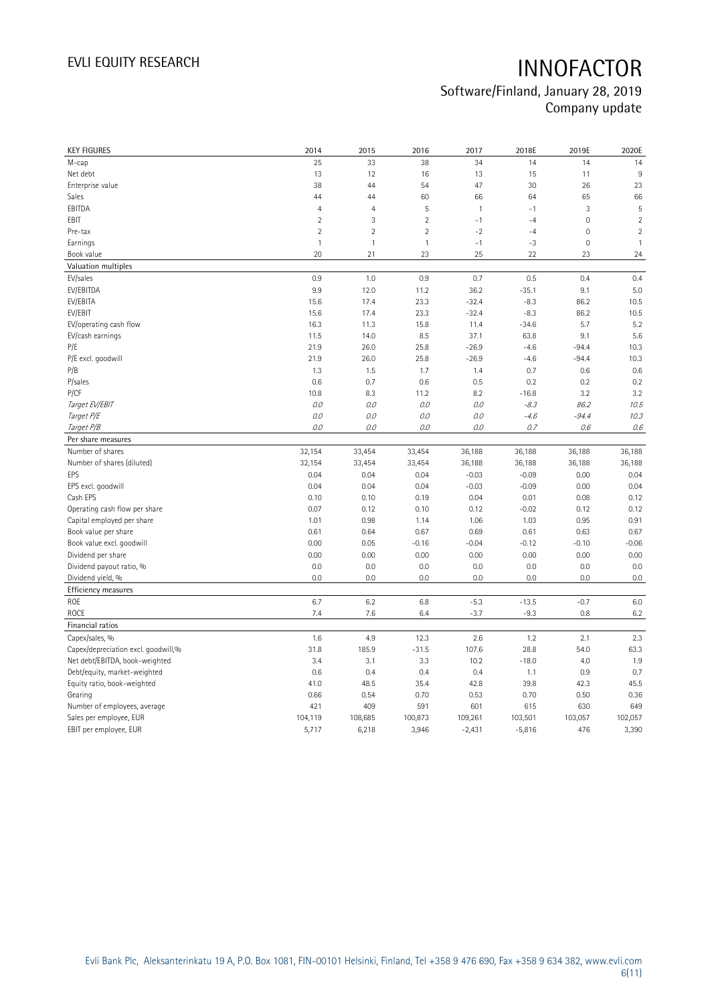| <b>KEY FIGURES</b>                  | 2014           | 2015           | 2016           | 2017         | 2018E    | 2019E               | 2020E          |
|-------------------------------------|----------------|----------------|----------------|--------------|----------|---------------------|----------------|
| M-cap                               | 25             | 33             | 38             | 34           | 14       | 14                  | 14             |
| Net debt                            | 13             | 12             | 16             | 13           | 15       | 11                  | 9              |
| Enterprise value                    | 38             | 44             | 54             | 47           | 30       | 26                  | 23             |
| Sales                               | 44             | 44             | 60             | 66           | 64       | 65                  | 66             |
| EBITDA                              | $\overline{4}$ | $\overline{4}$ | 5              | $\mathbf{1}$ | $-1$     | 3                   | 5              |
| EBIT                                | $\overline{2}$ | $\mathbf{3}$   | $\overline{2}$ | $-1$         | $-4$     | $\mathsf{O}\xspace$ | $\overline{c}$ |
| Pre-tax                             | $\overline{2}$ | $\sqrt{2}$     | $\overline{2}$ | $-2$         | $-4$     | 0                   | $\sqrt{2}$     |
| Earnings                            | $\mathbf{1}$   | $\mathbf{1}$   | $\mathbf{1}$   | $-1$         | $-3$     | $\mathbf 0$         | $\mathbf{1}$   |
| Book value                          | 20             | 21             | 23             | 25           | 22       | 23                  | 24             |
| Valuation multiples                 |                |                |                |              |          |                     |                |
| EV/sales                            | 0.9            | 1.0            | 0.9            | 0.7          | 0.5      | 0.4                 | 0.4            |
| EV/EBITDA                           | 9.9            | 12.0           | 11.2           | 36.2         | $-35.1$  | 9.1                 | 5.0            |
| EV/EBITA                            | 15.6           | 17.4           | 23.3           | $-32.4$      | $-8.3$   | 86.2                | 10.5           |
| EV/EBIT                             | 15.6           | 17.4           | 23.3           | $-32.4$      | $-8.3$   | 86.2                | 10.5           |
| EV/operating cash flow              | 16.3           | 11.3           | 15.8           | 11.4         | $-34.6$  | 5.7                 | 5.2            |
| EV/cash earnings                    | 11.5           | 14.0           | 8.5            | 37.1         | 63.8     | 9.1                 | 5.6            |
| P/E                                 | 21.9           | 26.0           | 25.8           | $-26.9$      | $-4.6$   | $-94.4$             | 10.3           |
| P/E excl. goodwill                  | 21.9           | 26.0           | 25.8           | $-26.9$      | $-4.6$   | $-94.4$             | 10.3           |
| P/B                                 | 1.3            | 1.5            | 1.7            | 1.4          | 0.7      | 0.6                 | 0.6            |
| P/sales                             | 0.6            | 0.7            | 0.6            | 0.5          | 0.2      | 0.2                 | 0.2            |
| P/CF                                | 10.8           | 8.3            | 11.2           | 8.2          | $-16.8$  | 3.2                 | 3.2            |
| Target EV/EBIT                      | O.O            | 0.0            | 0.0            | 0.0          | $-8.3$   | 86.2                | 10.5           |
| Target P/E                          | 0.0            | 0.0            | 0.0            | 0.0          | $-4.6$   | $-94.4$             | 10.3           |
| Target P/B                          | O.O            | 0.0            | 0.0            | 0.0          | 0.7      | 0.6                 | 0.6            |
| Per share measures                  |                |                |                |              |          |                     |                |
| Number of shares                    | 32,154         | 33,454         | 33,454         | 36,188       | 36,188   | 36,188              | 36,188         |
| Number of shares (diluted)          | 32,154         | 33,454         | 33,454         | 36,188       | 36,188   | 36,188              | 36,188         |
| EPS                                 | 0.04           | 0.04           | 0.04           | $-0.03$      | $-0.09$  | 0.00                | 0.04           |
| EPS excl. goodwill                  | 0.04           | 0.04           | 0.04           | $-0.03$      | $-0.09$  | 0.00                | 0.04           |
| Cash EPS                            | 0.10           | 0.10           | 0.19           | 0.04         | 0.01     | 0.08                | 0.12           |
| Operating cash flow per share       | 0.07           | 0.12           | 0.10           | 0.12         | $-0.02$  | 0.12                | 0.12           |
| Capital employed per share          | 1.01           | 0.98           | 1.14           | 1.06         | 1.03     | 0.95                | 0.91           |
| Book value per share                | 0.61           | 0.64           | 0.67           | 0.69         | 0.61     | 0.63                | 0.67           |
| Book value excl. goodwill           | 0.00           | 0.05           | $-0.16$        | $-0.04$      | $-0.12$  | $-0.10$             | $-0.06$        |
| Dividend per share                  | 0.00           | 0.00           | 0.00           | 0.00         | 0.00     | 0.00                | 0.00           |
| Dividend payout ratio, %            | 0.0            | 0.0            | 0.0            | 0.0          | 0.0      | 0.0                 | 0.0            |
| Dividend yield, %                   | 0.0            | 0.0            | 0.0            | 0.0          | 0.0      | 0.0                 | 0.0            |
| Efficiency measures                 |                |                |                |              |          |                     |                |
| ROE                                 | 6.7            | 6.2            | 6.8            | $-5.3$       | $-13.5$  | $-0.7$              | 6.0            |
| ROCE                                | 7.4            | 7.6            | 6.4            | $-3.7$       | $-9.3$   | 0.8                 | 6.2            |
| Financial ratios                    |                |                |                |              |          |                     |                |
| Capex/sales, %                      | 1.6            | 4.9            | 12.3           | 2.6          | 1.2      | 2.1                 | 2.3            |
| Capex/depreciation excl. goodwill,% | 31.8           | 185.9          | $-31.5$        | 107.6        | 28.8     | 54.0                | 63.3           |
| Net debt/EBITDA, book-weighted      | 3.4            | 3.1            | 3.3            | 10.2         | $-18.0$  | 4.0                 | 1.9            |
| Debt/equity, market-weighted        | 0.6            | 0.4            | 0.4            | 0.4          | 1.1      | 0.9                 | 0.7            |
| Equity ratio, book-weighted         | 41.0           | 48.5           | 35.4           | 42.8         | 39.8     | 42.3                | 45.5           |
| Gearing                             | 0.66           | 0.54           | 0.70           | 0.53         | 0.70     | 0.50                | 0.36           |
| Number of employees, average        | 421            | 409            | 591            | 601          | 615      | 630                 | 649            |
| Sales per employee, EUR             | 104,119        | 108,685        | 100,873        | 109,261      | 103,501  | 103,057             | 102,057        |
| EBIT per employee, EUR              | 5,717          | 6,218          | 3,946          | $-2,431$     | $-5,816$ | 476                 | 3,390          |
|                                     |                |                |                |              |          |                     |                |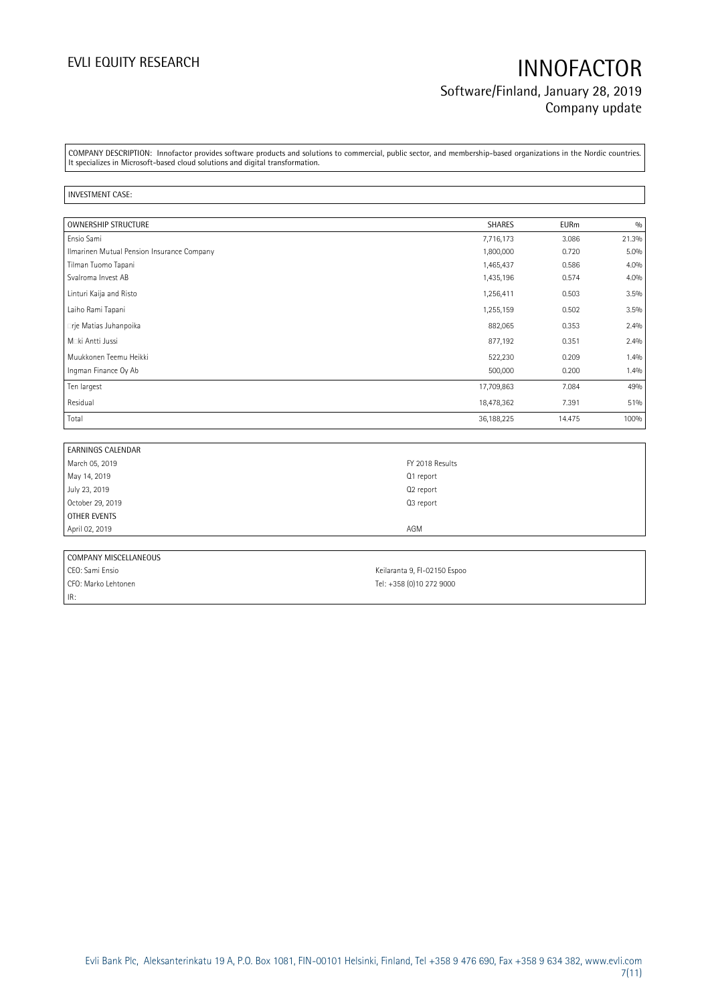## EVLI EQUITY RESEARCH **INNOFACTOR** Software/Finland, January 28, 2019 Company update

COMPANY DESCRIPTION: Innofactor provides software products and solutions to commercial, public sector, and membership-based organizations in the Nordic countries. It specializes in Microsoft-based cloud solutions and digital transformation.

### INVESTMENT CASE:

| OWNERSHIP STRUCTURE                        | <b>SHARES</b> | <b>EURm</b> | 0/0     |
|--------------------------------------------|---------------|-------------|---------|
| Ensio Sami                                 | 7,716,173     | 3.086       | 21.3%   |
| Ilmarinen Mutual Pension Insurance Company | 1,800,000     | 0.720       | $5.0\%$ |
| Tilman Tuomo Tapani                        | 1,465,437     | 0.586       | 4.0%    |
| Svalroma Invest AB                         | 1,435,196     | 0.574       | 4.0%    |
| Linturi Kaija and Risto                    | 1,256,411     | 0.503       | 3.5%    |
| Laiho Rami Tapani                          | 1,255,159     | 0.502       | 3.5%    |
| • rje Matias Juhanpoika                    | 882,065       | 0.353       | 2.4%    |
| M. ki Antti Jussi                          | 877,192       | 0.351       | 2.4%    |
| Muukkonen Teemu Heikki                     | 522,230       | 0.209       | 1.4%    |
| Ingman Finance Oy Ab                       | 500,000       | 0.200       | 1.4%    |
| Ten largest                                | 17,709,863    | 7.084       | 49%     |
| Residual                                   | 18,478,362    | 7.391       | 51%     |
| Total                                      | 36,188,225    | 14.475      | 100%    |

| <b>EARNINGS CALENDAR</b> |                       |
|--------------------------|-----------------------|
| March 05, 2019           | FY 2018 Results       |
| May 14, 2019             | Q1 report             |
| July 23, 2019            | Q <sub>2</sub> report |
| October 29, 2019         | Q3 report             |
| OTHER EVENTS             |                       |
| April 02, 2019           | AGM                   |
|                          |                       |
| COMPANY MISCELLANEOUS    |                       |

| <b>CONTANT MISCLLANLOUS</b> |                              |
|-----------------------------|------------------------------|
| I CEO: Sami Ensio           | Keilaranta 9, FI-02150 Espoo |
| CFO: Marko Lehtonen         | Tel: +358 (0)10 272 9000     |
| IR:                         |                              |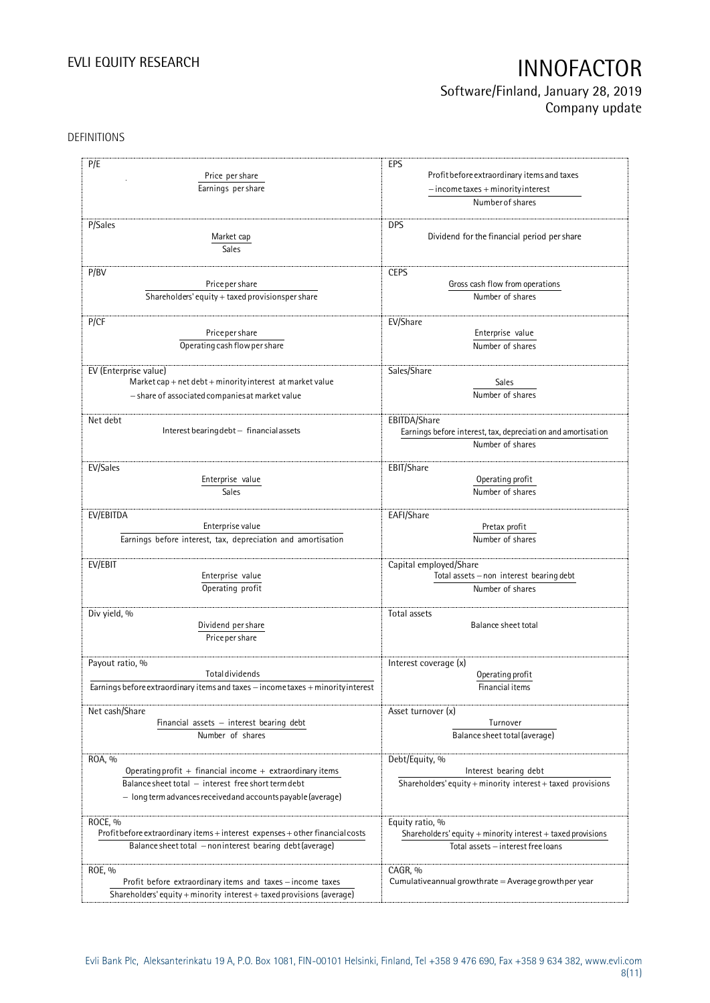## Software/Finland, January 28, 2019 Company update

### DEFINITIONS

| P/E                                                                                                                                                                                            | EPS                                                                                                    |
|------------------------------------------------------------------------------------------------------------------------------------------------------------------------------------------------|--------------------------------------------------------------------------------------------------------|
| Price per share                                                                                                                                                                                | Profit before extraordinary items and taxes                                                            |
| Earnings per share                                                                                                                                                                             | $-$ income taxes + minority interest                                                                   |
|                                                                                                                                                                                                | Number of shares                                                                                       |
| P/Sales<br>Market cap<br>Sales                                                                                                                                                                 | <b>DPS</b><br>Dividend for the financial period per share                                              |
| P/BV                                                                                                                                                                                           | <b>CEPS</b>                                                                                            |
| Price per share                                                                                                                                                                                | Gross cash flow from operations                                                                        |
| Shareholders' equity + taxed provisionsper share                                                                                                                                               | Number of shares                                                                                       |
| P/CF                                                                                                                                                                                           | EV/Share                                                                                               |
| Price per share                                                                                                                                                                                | Enterprise value                                                                                       |
| Operating cash flow per share                                                                                                                                                                  | Number of shares                                                                                       |
| EV (Enterprise value)                                                                                                                                                                          | Sales/Share                                                                                            |
| Market cap + net debt + minority interest at market value                                                                                                                                      | Sales                                                                                                  |
| - share of associated companies at market value                                                                                                                                                | Number of shares                                                                                       |
| Net debt<br>Interest bearing debt - financial assets                                                                                                                                           | EBITDA/Share<br>Earnings before interest, tax, depreciation and amortisation<br>Number of shares       |
| EV/Sales                                                                                                                                                                                       | EBIT/Share                                                                                             |
| Enterprise value                                                                                                                                                                               | Operating profit                                                                                       |
| <b>Sales</b>                                                                                                                                                                                   | Number of shares                                                                                       |
| EV/EBITDA                                                                                                                                                                                      | EAFI/Share                                                                                             |
| Enterprise value                                                                                                                                                                               | Pretax profit                                                                                          |
| Earnings before interest, tax, depreciation and amortisation                                                                                                                                   | Number of shares                                                                                       |
| EV/EBIT                                                                                                                                                                                        | Capital employed/Share                                                                                 |
| Enterprise value                                                                                                                                                                               | Total assets - non interest bearing debt                                                               |
| Operating profit                                                                                                                                                                               | Number of shares                                                                                       |
| Div yield, %<br>Dividend per share<br>Price per share                                                                                                                                          | Total assets<br>Balance sheet total                                                                    |
| Payout ratio, %                                                                                                                                                                                | Interest coverage (x)                                                                                  |
| <b>Total dividends</b>                                                                                                                                                                         | Operating profit                                                                                       |
| Earnings before extraordinary items and taxes - income taxes + minority interest                                                                                                               | Financial items                                                                                        |
| Net cash/Share                                                                                                                                                                                 | Asset turnover (x)                                                                                     |
| Financial assets $-$ interest bearing debt                                                                                                                                                     | Turnover                                                                                               |
| Number of shares                                                                                                                                                                               | Balance sheet total (average)                                                                          |
| ROA, %<br>Operating profit $+$ financial income $+$ extraordinary items<br>Balance sheet total - interest free short term debt<br>- long term advances received and accounts payable (average) | Debt/Equity, %<br>Interest bearing debt<br>Shareholders' equity + minority interest + taxed provisions |
| ROCE, %                                                                                                                                                                                        | Equity ratio, %                                                                                        |
| Profit before extraordinary items + interest expenses + other financial costs                                                                                                                  | Shareholders' equity + minority interest + taxed provisions                                            |
| Balance sheet total - noninterest bearing debt (average)                                                                                                                                       | Total assets - interest free loans                                                                     |
| ROE, %<br>Profit before extraordinary items and taxes - income taxes<br>Shareholders' equity + minority interest + taxed provisions (average)                                                  | CAGR, %<br>Cumulative annual growthrate $=$ Average growthper year                                     |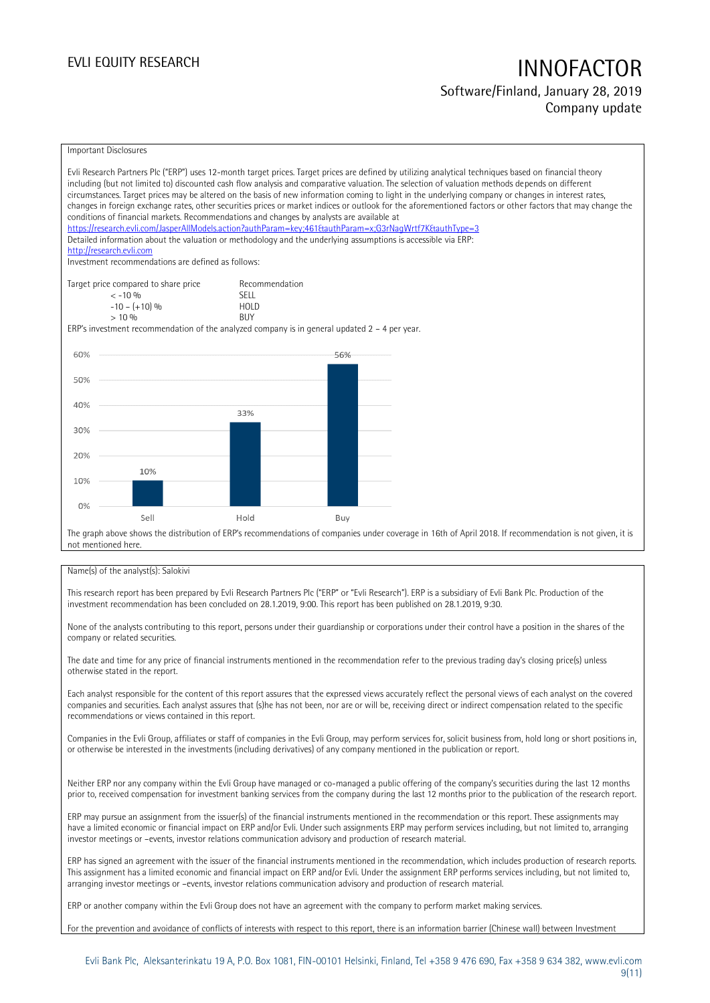### Software/Finland, January 28, 2019 Company update

### Important Disclosures

|     | Evli Research Partners Plc ("ERP") uses 12-month target prices. Target prices are defined by utilizing analytical techniques based on financial theory<br>including (but not limited to) discounted cash flow analysis and comparative valuation. The selection of valuation methods depends on different<br>circumstances. Target prices may be altered on the basis of new information coming to light in the underlying company or changes in interest rates,<br>changes in foreign exchange rates, other securities prices or market indices or outlook for the aforementioned factors or other factors that may change the<br>conditions of financial markets. Recommendations and changes by analysts are available at<br>https://research.evli.com/JasperAllModels.action?authParam=key;461&tauthParam=x;G3rNaqWrtf7K&tauthType=3<br>Detailed information about the valuation or methodology and the underlying assumptions is accessible via ERP:<br>http://research.evli.com<br>Investment recommendations are defined as follows: |                           |     |  |  |
|-----|---------------------------------------------------------------------------------------------------------------------------------------------------------------------------------------------------------------------------------------------------------------------------------------------------------------------------------------------------------------------------------------------------------------------------------------------------------------------------------------------------------------------------------------------------------------------------------------------------------------------------------------------------------------------------------------------------------------------------------------------------------------------------------------------------------------------------------------------------------------------------------------------------------------------------------------------------------------------------------------------------------------------------------------------|---------------------------|-----|--|--|
|     | Target price compared to share price                                                                                                                                                                                                                                                                                                                                                                                                                                                                                                                                                                                                                                                                                                                                                                                                                                                                                                                                                                                                        | Recommendation            |     |  |  |
|     | $< -10\%$                                                                                                                                                                                                                                                                                                                                                                                                                                                                                                                                                                                                                                                                                                                                                                                                                                                                                                                                                                                                                                   | <b>SELL</b>               |     |  |  |
|     | $-10 - (+10)$ %<br>$> 10\%$                                                                                                                                                                                                                                                                                                                                                                                                                                                                                                                                                                                                                                                                                                                                                                                                                                                                                                                                                                                                                 | <b>HOLD</b><br><b>BUY</b> |     |  |  |
|     | ERP's investment recommendation of the analyzed company is in general updated $2 - 4$ per year.                                                                                                                                                                                                                                                                                                                                                                                                                                                                                                                                                                                                                                                                                                                                                                                                                                                                                                                                             |                           |     |  |  |
|     |                                                                                                                                                                                                                                                                                                                                                                                                                                                                                                                                                                                                                                                                                                                                                                                                                                                                                                                                                                                                                                             |                           |     |  |  |
| 60% |                                                                                                                                                                                                                                                                                                                                                                                                                                                                                                                                                                                                                                                                                                                                                                                                                                                                                                                                                                                                                                             |                           | 56% |  |  |
|     |                                                                                                                                                                                                                                                                                                                                                                                                                                                                                                                                                                                                                                                                                                                                                                                                                                                                                                                                                                                                                                             |                           |     |  |  |
| 50% |                                                                                                                                                                                                                                                                                                                                                                                                                                                                                                                                                                                                                                                                                                                                                                                                                                                                                                                                                                                                                                             |                           |     |  |  |
|     |                                                                                                                                                                                                                                                                                                                                                                                                                                                                                                                                                                                                                                                                                                                                                                                                                                                                                                                                                                                                                                             |                           |     |  |  |
| 40% |                                                                                                                                                                                                                                                                                                                                                                                                                                                                                                                                                                                                                                                                                                                                                                                                                                                                                                                                                                                                                                             |                           |     |  |  |
|     |                                                                                                                                                                                                                                                                                                                                                                                                                                                                                                                                                                                                                                                                                                                                                                                                                                                                                                                                                                                                                                             | 33%                       |     |  |  |
| 30% |                                                                                                                                                                                                                                                                                                                                                                                                                                                                                                                                                                                                                                                                                                                                                                                                                                                                                                                                                                                                                                             |                           |     |  |  |
|     |                                                                                                                                                                                                                                                                                                                                                                                                                                                                                                                                                                                                                                                                                                                                                                                                                                                                                                                                                                                                                                             |                           |     |  |  |
| 20% |                                                                                                                                                                                                                                                                                                                                                                                                                                                                                                                                                                                                                                                                                                                                                                                                                                                                                                                                                                                                                                             |                           |     |  |  |
|     | 10%                                                                                                                                                                                                                                                                                                                                                                                                                                                                                                                                                                                                                                                                                                                                                                                                                                                                                                                                                                                                                                         |                           |     |  |  |
| 10% |                                                                                                                                                                                                                                                                                                                                                                                                                                                                                                                                                                                                                                                                                                                                                                                                                                                                                                                                                                                                                                             |                           |     |  |  |
|     |                                                                                                                                                                                                                                                                                                                                                                                                                                                                                                                                                                                                                                                                                                                                                                                                                                                                                                                                                                                                                                             |                           |     |  |  |
| 0%  |                                                                                                                                                                                                                                                                                                                                                                                                                                                                                                                                                                                                                                                                                                                                                                                                                                                                                                                                                                                                                                             |                           |     |  |  |
|     | Sell                                                                                                                                                                                                                                                                                                                                                                                                                                                                                                                                                                                                                                                                                                                                                                                                                                                                                                                                                                                                                                        | Hold                      | Buy |  |  |
|     | The graph above shows the distribution of ERP's recommendations of companies under coverage in 16th of April 2018. If recommendation is not given, it is<br>not mentioned here                                                                                                                                                                                                                                                                                                                                                                                                                                                                                                                                                                                                                                                                                                                                                                                                                                                              |                           |     |  |  |

### Name(s) of the analyst(s): Salokivi

This research report has been prepared by Evli Research Partners Plc ("ERP" or "Evli Research"). ERP is a subsidiary of Evli Bank Plc. Production of the investment recommendation has been concluded on 28.1.2019, 9:00. This report has been published on 28.1.2019, 9:30.

None of the analysts contributing to this report, persons under their guardianship or corporations under their control have a position in the shares of the company or related securities.

The date and time for any price of financial instruments mentioned in the recommendation refer to the previous trading day's closing price(s) unless otherwise stated in the report.

Each analyst responsible for the content of this report assures that the expressed views accurately reflect the personal views of each analyst on the covered companies and securities. Each analyst assures that (s)he has not been, nor are or will be, receiving direct or indirect compensation related to the specific recommendations or views contained in this report.

Companies in the Evli Group, affiliates or staff of companies in the Evli Group, may perform services for, solicit business from, hold long or short positions in, or otherwise be interested in the investments (including derivatives) of any company mentioned in the publication or report.

Neither ERP nor any company within the Evli Group have managed or co-managed a public offering of the company's securities during the last 12 months prior to, received compensation for investment banking services from the company during the last 12 months prior to the publication of the research report.

ERP may pursue an assignment from the issuer(s) of the financial instruments mentioned in the recommendation or this report. These assignments may have a limited economic or financial impact on ERP and/or Evli. Under such assignments ERP may perform services including, but not limited to, arranging investor meetings or –events, investor relations communication advisory and production of research material.

ERP has signed an agreement with the issuer of the financial instruments mentioned in the recommendation, which includes production of research reports. This assignment has a limited economic and financial impact on ERP and/or Evli. Under the assignment ERP performs services including, but not limited to, arranging investor meetings or –events, investor relations communication advisory and production of research material.

ERP or another company within the Evli Group does not have an agreement with the company to perform market making services.

For the prevention and avoidance of conflicts of interests with respect to this report, there is an information barrier (Chinese wall) between Investment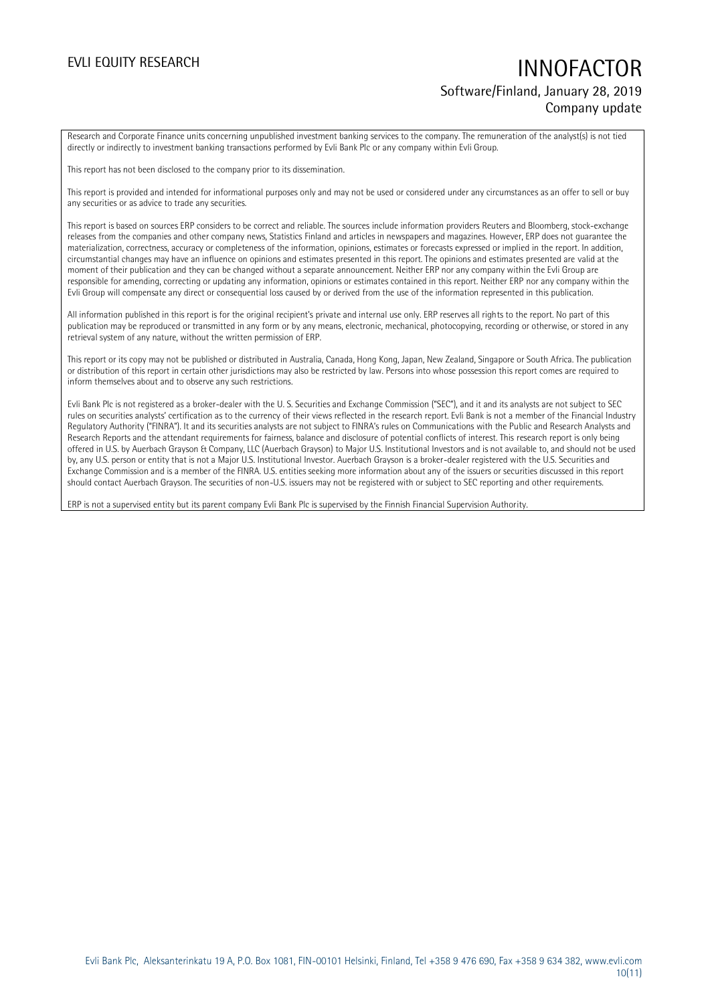## EVLI EQUITY RESEARCH **INNOFACTOR** Software/Finland, January 28, 2019 Company update

Research and Corporate Finance units concerning unpublished investment banking services to the company. The remuneration of the analyst(s) is not tied directly or indirectly to investment banking transactions performed by Evli Bank Plc or any company within Evli Group.

This report has not been disclosed to the company prior to its dissemination.

This report is provided and intended for informational purposes only and may not be used or considered under any circumstances as an offer to sell or buy any securities or as advice to trade any securities.

This report is based on sources ERP considers to be correct and reliable. The sources include information providers Reuters and Bloomberg, stock-exchange releases from the companies and other company news, Statistics Finland and articles in newspapers and magazines. However, ERP does not guarantee the materialization, correctness, accuracy or completeness of the information, opinions, estimates or forecasts expressed or implied in the report. In addition, circumstantial changes may have an influence on opinions and estimates presented in this report. The opinions and estimates presented are valid at the moment of their publication and they can be changed without a separate announcement. Neither ERP nor any company within the Evli Group are responsible for amending, correcting or updating any information, opinions or estimates contained in this report. Neither ERP nor any company within the Evli Group will compensate any direct or consequential loss caused by or derived from the use of the information represented in this publication.

All information published in this report is for the original recipient's private and internal use only. ERP reserves all rights to the report. No part of this publication may be reproduced or transmitted in any form or by any means, electronic, mechanical, photocopying, recording or otherwise, or stored in any retrieval system of any nature, without the written permission of ERP.

This report or its copy may not be published or distributed in Australia, Canada, Hong Kong, Japan, New Zealand, Singapore or South Africa. The publication or distribution of this report in certain other jurisdictions may also be restricted by law. Persons into whose possession this report comes are required to inform themselves about and to observe any such restrictions.

Evli Bank Plc is not registered as a broker-dealer with the U. S. Securities and Exchange Commission ("SEC"), and it and its analysts are not subject to SEC rules on securities analysts' certification as to the currency of their views reflected in the research report. Evli Bank is not a member of the Financial Industry Regulatory Authority ("FINRA"). It and its securities analysts are not subject to FINRA's rules on Communications with the Public and Research Analysts and Research Reports and the attendant requirements for fairness, balance and disclosure of potential conflicts of interest. This research report is only being offered in U.S. by Auerbach Grayson & Company, LLC (Auerbach Grayson) to Major U.S. Institutional Investors and is not available to, and should not be used by, any U.S. person or entity that is not a Major U.S. Institutional Investor. Auerbach Grayson is a broker-dealer registered with the U.S. Securities and Exchange Commission and is a member of the FINRA. U.S. entities seeking more information about any of the issuers or securities discussed in this report should contact Auerbach Grayson. The securities of non-U.S. issuers may not be registered with or subject to SEC reporting and other requirements.

ERP is not a supervised entity but its parent company Evli Bank Plc is supervised by the Finnish Financial Supervision Authority.